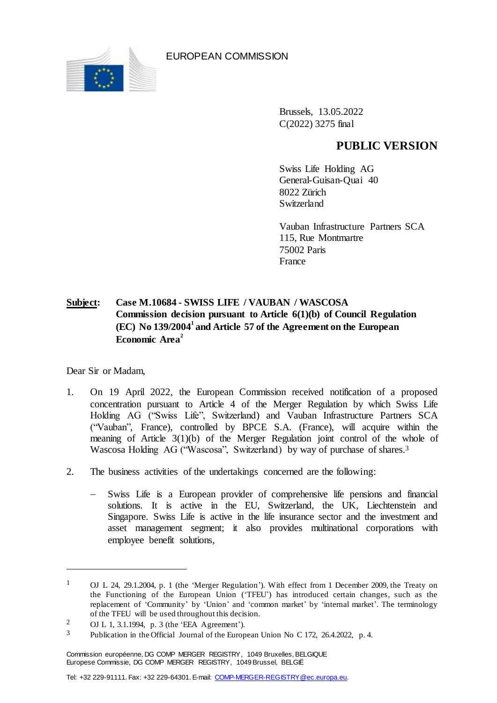

EUROPEAN COMMISSION

Brussels, 13.05.2022 C(2022) 3275 final

## **PUBLIC VERSION**

Swiss Life Holding AG General-Guisan-Quai 40 8022 Zürich Switzerland

Vauban Infrastructure Partners SCA 115, Rue Montmartre 75002 Paris France

## **Subject: Case M.10684 - SWISS LIFE / VAUBAN / WASCOSA Commission decision pursuant to Article 6(1)(b) of Council Regulation (EC) No 139/2004<sup>1</sup> and Article 57 of the Agreement on the European Economic Area<sup>2</sup>**

Dear Sir or Madam,

 $\overline{a}$ 

- 1. On 19 April 2022, the European Commission received notification of a proposed concentration pursuant to Article 4 of the Merger Regulation by which Swiss Life Holding AG ("Swiss Life", Switzerland) and Vauban Infrastructure Partners SCA ("Vauban", France), controlled by BPCE S.A. (France), will acquire within the meaning of Article 3(1)(b) of the Merger Regulation joint control of the whole of Wascosa Holding AG ("Wascosa", Switzerland) by way of purchase of shares.<sup>3</sup>
- 2. The business activities of the undertakings concerned are the following:
	- Swiss Life is a European provider of comprehensive life pensions and financial solutions. It is active in the EU, Switzerland, the UK, Liechtenstein and Singapore. Swiss Life is active in the life insurance sector and the investment and asset management segment; it also provides multinational corporations with employee benefit solutions,

<sup>&</sup>lt;sup>1</sup> OJ L 24, 29.1.2004, p. 1 (the 'Merger Regulation'). With effect from 1 December 2009, the Treaty on the Functioning of the European Union ('TFEU') has introduced certain changes, such as the replacement of 'Community' by 'Union' and 'common market' by 'internal market'. The terminology of the TFEU will be used throughout this decision.

<sup>2</sup> OJ L 1, 3.1.1994, p. 3 (the 'EEA Agreement').

<sup>3</sup> Publication in the Official Journal of the European Union No C 172, 26.4.2022, p. 4.

Commission européenne, DG COMP MERGER REGISTRY, 1049 Bruxelles, BELGIQUE Europese Commissie, DG COMP MERGER REGISTRY, 1049 Brussel, BELGIË

Tel: +32 229-91111. Fax: +32 229-64301. E-mail: [COMP-MERGER-REGISTRY@ec.europa.eu.](mailto:COMP-MERGER-REGISTRY@ec.europa.eu)